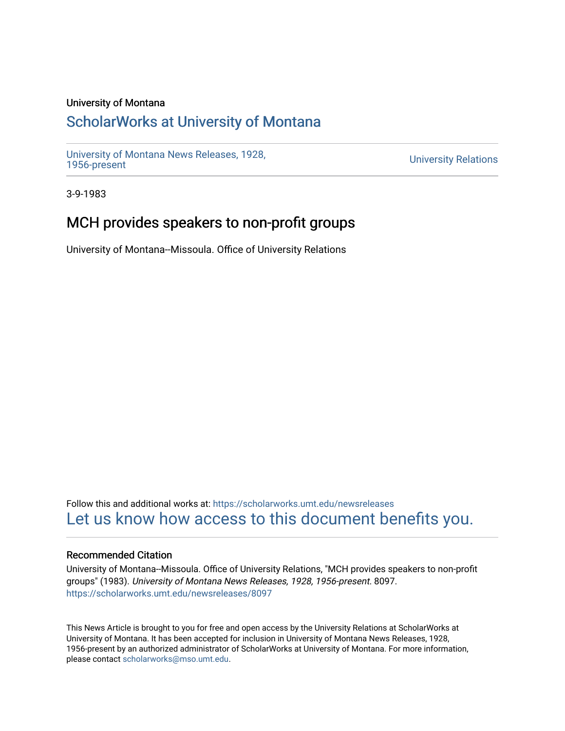### University of Montana

## [ScholarWorks at University of Montana](https://scholarworks.umt.edu/)

[University of Montana News Releases, 1928,](https://scholarworks.umt.edu/newsreleases) 

**University Relations** 

3-9-1983

## MCH provides speakers to non-profit groups

University of Montana--Missoula. Office of University Relations

Follow this and additional works at: [https://scholarworks.umt.edu/newsreleases](https://scholarworks.umt.edu/newsreleases?utm_source=scholarworks.umt.edu%2Fnewsreleases%2F8097&utm_medium=PDF&utm_campaign=PDFCoverPages) [Let us know how access to this document benefits you.](https://goo.gl/forms/s2rGfXOLzz71qgsB2) 

### Recommended Citation

University of Montana--Missoula. Office of University Relations, "MCH provides speakers to non-profit groups" (1983). University of Montana News Releases, 1928, 1956-present. 8097. [https://scholarworks.umt.edu/newsreleases/8097](https://scholarworks.umt.edu/newsreleases/8097?utm_source=scholarworks.umt.edu%2Fnewsreleases%2F8097&utm_medium=PDF&utm_campaign=PDFCoverPages) 

This News Article is brought to you for free and open access by the University Relations at ScholarWorks at University of Montana. It has been accepted for inclusion in University of Montana News Releases, 1928, 1956-present by an authorized administrator of ScholarWorks at University of Montana. For more information, please contact [scholarworks@mso.umt.edu.](mailto:scholarworks@mso.umt.edu)